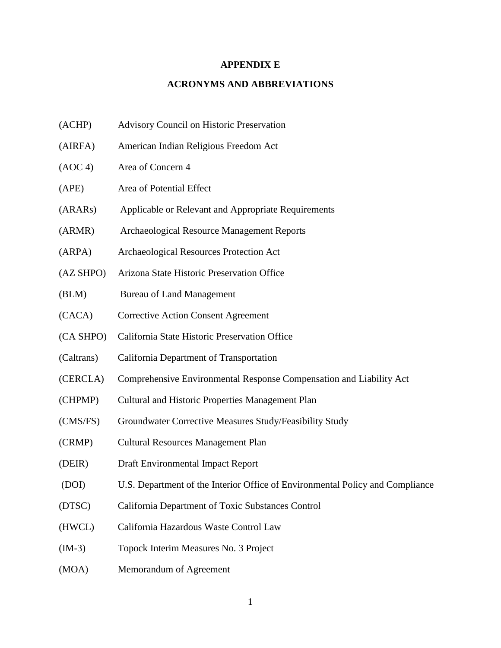## **APPENDIX E**

## **ACRONYMS AND ABBREVIATIONS**

- (ACHP) Advisory Council on Historic Preservation
- (AIRFA) American Indian Religious Freedom Act
- (AOC 4) Area of Concern 4
- (APE) Area of Potential Effect
- (ARARs) Applicable or Relevant and Appropriate Requirements
- (ARMR) Archaeological Resource Management Reports
- (ARPA) Archaeological Resources Protection Act
- (AZ SHPO) Arizona State Historic Preservation Office
- (BLM) Bureau of Land Management
- (CACA) Corrective Action Consent Agreement
- (CA SHPO) California State Historic Preservation Office
- (Caltrans) California Department of Transportation
- (CERCLA) Comprehensive Environmental Response Compensation and Liability Act
- (CHPMP) Cultural and Historic Properties Management Plan
- (CMS/FS) Groundwater Corrective Measures Study/Feasibility Study
- (CRMP) Cultural Resources Management Plan
- (DEIR) Draft Environmental Impact Report
- (DOI) U.S. Department of the Interior Office of Environmental Policy and Compliance
- (DTSC) California Department of Toxic Substances Control
- (HWCL) California Hazardous Waste Control Law
- (IM-3) Topock Interim Measures No. 3 Project
- (MOA) Memorandum of Agreement